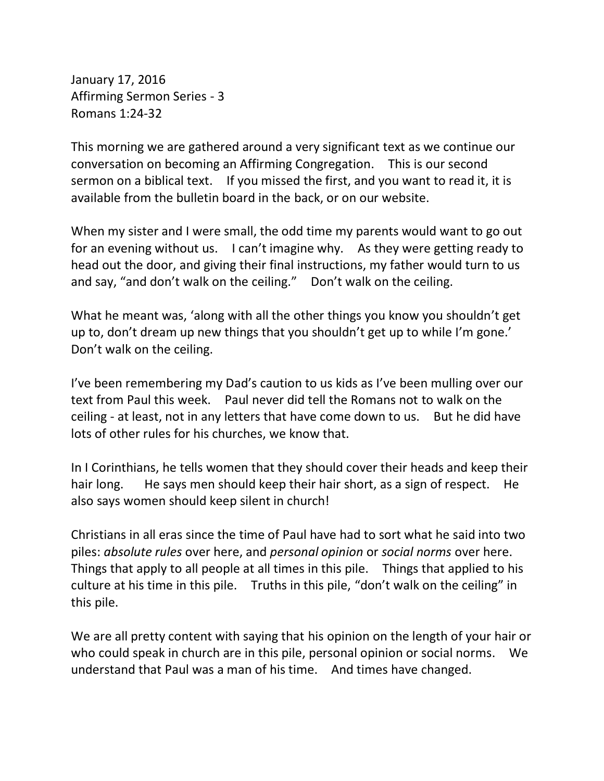January 17, 2016 Affirming Sermon Series - 3 Romans 1:24-32

This morning we are gathered around a very significant text as we continue our conversation on becoming an Affirming Congregation. This is our second sermon on a biblical text. If you missed the first, and you want to read it, it is available from the bulletin board in the back, or on our website.

When my sister and I were small, the odd time my parents would want to go out for an evening without us. I can't imagine why. As they were getting ready to head out the door, and giving their final instructions, my father would turn to us and say, "and don't walk on the ceiling." Don't walk on the ceiling.

What he meant was, 'along with all the other things you know you shouldn't get up to, don't dream up new things that you shouldn't get up to while I'm gone.' Don't walk on the ceiling.

I've been remembering my Dad's caution to us kids as I've been mulling over our text from Paul this week. Paul never did tell the Romans not to walk on the ceiling - at least, not in any letters that have come down to us. But he did have lots of other rules for his churches, we know that.

In I Corinthians, he tells women that they should cover their heads and keep their hair long. He says men should keep their hair short, as a sign of respect. He also says women should keep silent in church!

Christians in all eras since the time of Paul have had to sort what he said into two piles: *absolute rules* over here, and *personal opinion* or *social norms* over here. Things that apply to all people at all times in this pile. Things that applied to his culture at his time in this pile. Truths in this pile, "don't walk on the ceiling" in this pile.

We are all pretty content with saying that his opinion on the length of your hair or who could speak in church are in this pile, personal opinion or social norms. We understand that Paul was a man of his time. And times have changed.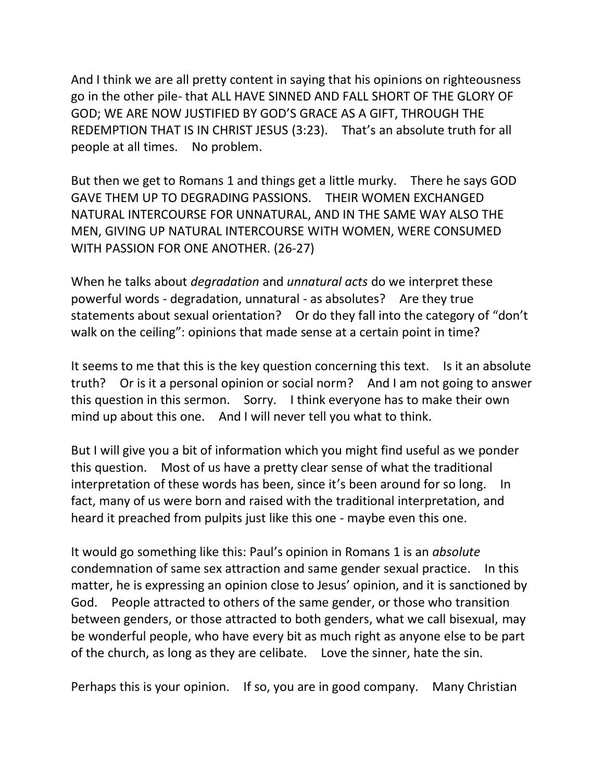And I think we are all pretty content in saying that his opinions on righteousness go in the other pile- that ALL HAVE SINNED AND FALL SHORT OF THE GLORY OF GOD; WE ARE NOW JUSTIFIED BY GOD'S GRACE AS A GIFT, THROUGH THE REDEMPTION THAT IS IN CHRIST JESUS (3:23). That's an absolute truth for all people at all times. No problem.

But then we get to Romans 1 and things get a little murky. There he says GOD GAVE THEM UP TO DEGRADING PASSIONS. THEIR WOMEN EXCHANGED NATURAL INTERCOURSE FOR UNNATURAL, AND IN THE SAME WAY ALSO THE MEN, GIVING UP NATURAL INTERCOURSE WITH WOMEN, WERE CONSUMED WITH PASSION FOR ONE ANOTHER. (26-27)

When he talks about *degradation* and *unnatural acts* do we interpret these powerful words - degradation, unnatural - as absolutes? Are they true statements about sexual orientation? Or do they fall into the category of "don't walk on the ceiling": opinions that made sense at a certain point in time?

It seems to me that this is the key question concerning this text. Is it an absolute truth? Or is it a personal opinion or social norm? And I am not going to answer this question in this sermon. Sorry. I think everyone has to make their own mind up about this one. And I will never tell you what to think.

But I will give you a bit of information which you might find useful as we ponder this question. Most of us have a pretty clear sense of what the traditional interpretation of these words has been, since it's been around for so long. In fact, many of us were born and raised with the traditional interpretation, and heard it preached from pulpits just like this one - maybe even this one.

It would go something like this: Paul's opinion in Romans 1 is an *absolute* condemnation of same sex attraction and same gender sexual practice. In this matter, he is expressing an opinion close to Jesus' opinion, and it is sanctioned by God. People attracted to others of the same gender, or those who transition between genders, or those attracted to both genders, what we call bisexual, may be wonderful people, who have every bit as much right as anyone else to be part of the church, as long as they are celibate. Love the sinner, hate the sin.

Perhaps this is your opinion. If so, you are in good company. Many Christian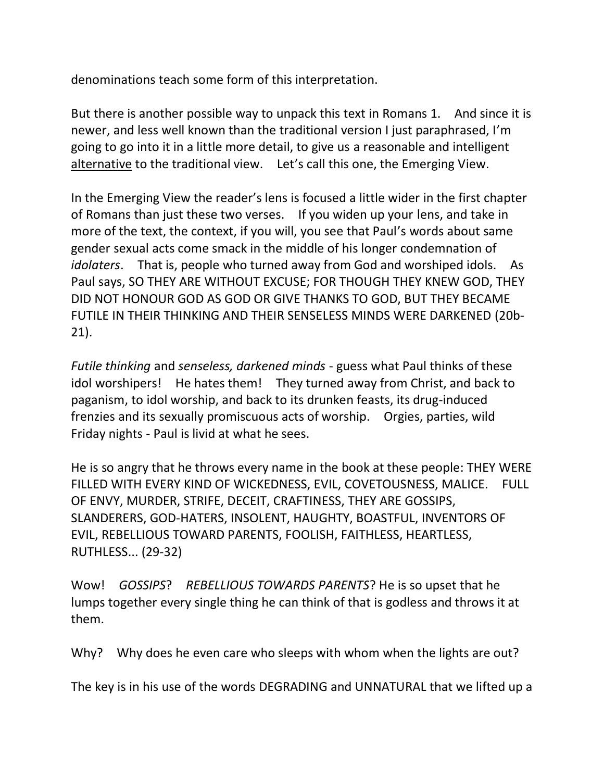denominations teach some form of this interpretation.

But there is another possible way to unpack this text in Romans 1. And since it is newer, and less well known than the traditional version I just paraphrased, I'm going to go into it in a little more detail, to give us a reasonable and intelligent alternative to the traditional view. Let's call this one, the Emerging View.

In the Emerging View the reader's lens is focused a little wider in the first chapter of Romans than just these two verses. If you widen up your lens, and take in more of the text, the context, if you will, you see that Paul's words about same gender sexual acts come smack in the middle of his longer condemnation of *idolaters*. That is, people who turned away from God and worshiped idols. As Paul says, SO THEY ARE WITHOUT EXCUSE; FOR THOUGH THEY KNEW GOD, THEY DID NOT HONOUR GOD AS GOD OR GIVE THANKS TO GOD, BUT THEY BECAME FUTILE IN THEIR THINKING AND THEIR SENSELESS MINDS WERE DARKENED (20b-21).

*Futile thinking* and *senseless, darkened minds* - guess what Paul thinks of these idol worshipers! He hates them! They turned away from Christ, and back to paganism, to idol worship, and back to its drunken feasts, its drug-induced frenzies and its sexually promiscuous acts of worship. Orgies, parties, wild Friday nights - Paul is livid at what he sees.

He is so angry that he throws every name in the book at these people: THEY WERE FILLED WITH EVERY KIND OF WICKEDNESS, EVIL, COVETOUSNESS, MALICE. FULL OF ENVY, MURDER, STRIFE, DECEIT, CRAFTINESS, THEY ARE GOSSIPS, SLANDERERS, GOD-HATERS, INSOLENT, HAUGHTY, BOASTFUL, INVENTORS OF EVIL, REBELLIOUS TOWARD PARENTS, FOOLISH, FAITHLESS, HEARTLESS, RUTHLESS... (29-32)

Wow! *GOSSIPS*? *REBELLIOUS TOWARDS PARENTS*? He is so upset that he lumps together every single thing he can think of that is godless and throws it at them.

Why? Why does he even care who sleeps with whom when the lights are out?

The key is in his use of the words DEGRADING and UNNATURAL that we lifted up a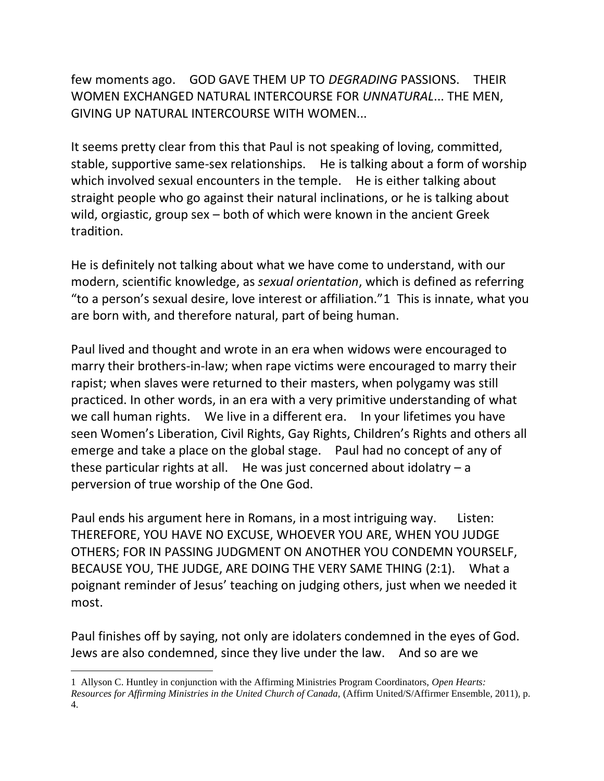few moments ago. GOD GAVE THEM UP TO *DEGRADING* PASSIONS. THEIR WOMEN EXCHANGED NATURAL INTERCOURSE FOR *UNNATURAL*... THE MEN, GIVING UP NATURAL INTERCOURSE WITH WOMEN...

It seems pretty clear from this that Paul is not speaking of loving, committed, stable, supportive same-sex relationships. He is talking about a form of worship which involved sexual encounters in the temple. He is either talking about straight people who go against their natural inclinations, or he is talking about wild, orgiastic, group sex – both of which were known in the ancient Greek tradition.

He is definitely not talking about what we have come to understand, with our modern, scientific knowledge, as *sexual orientation*, which is defined as referring "to a person's sexual desire, love interest or affiliation."1 This is innate, what you are born with, and therefore natural, part of being human.

Paul lived and thought and wrote in an era when widows were encouraged to marry their brothers-in-law; when rape victims were encouraged to marry their rapist; when slaves were returned to their masters, when polygamy was still practiced. In other words, in an era with a very primitive understanding of what we call human rights. We live in a different era. In your lifetimes you have seen Women's Liberation, Civil Rights, Gay Rights, Children's Rights and others all emerge and take a place on the global stage. Paul had no concept of any of these particular rights at all. He was just concerned about idolatry  $-a$ perversion of true worship of the One God.

Paul ends his argument here in Romans, in a most intriguing way. Listen: THEREFORE, YOU HAVE NO EXCUSE, WHOEVER YOU ARE, WHEN YOU JUDGE OTHERS; FOR IN PASSING JUDGMENT ON ANOTHER YOU CONDEMN YOURSELF, BECAUSE YOU, THE JUDGE, ARE DOING THE VERY SAME THING (2:1). What a poignant reminder of Jesus' teaching on judging others, just when we needed it most.

Paul finishes off by saying, not only are idolaters condemned in the eyes of God. Jews are also condemned, since they live under the law. And so are we

<sup>1</sup> Allyson C. Huntley in conjunction with the Affirming Ministries Program Coordinators, *Open Hearts: Resources for Affirming Ministries in the United Church of Canada,* (Affirm United/S/Affirmer Ensemble, 2011), p. 4.